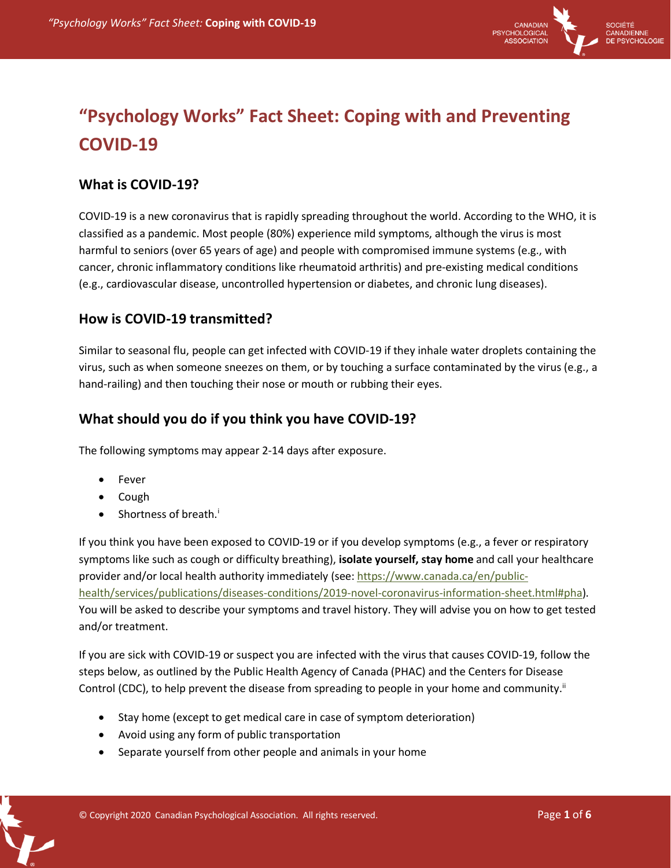

# **"Psychology Works" Fact Sheet: Coping with and Preventing COVID-19**

## **What is COVID-19?**

COVID-19 is a new coronavirus that is rapidly spreading throughout the world. According to the WHO, it is classified as a pandemic. Most people (80%) experience mild symptoms, although the virus is most harmful to seniors (over 65 years of age) and people with compromised immune systems (e.g., with cancer, chronic inflammatory conditions like rheumatoid arthritis) and pre-existing medical conditions (e.g., cardiovascular disease, uncontrolled hypertension or diabetes, and chronic lung diseases).

## **How is COVID-19 transmitted?**

Similar to seasonal flu, people can get infected with COVID-19 if they inhale water droplets containing the virus, such as when someone sneezes on them, or by touching a surface contaminated by the virus (e.g., a hand-railing) and then touching their nose or mouth or rubbing their eyes.

## **What should you do if you think you have COVID-19?**

The following symptoms may appear 2-14 days after exposure.

- Fever
- Cough
- Shortness of breath.<sup>i</sup>

If you think you have been exposed to COVID-19 or if you develop symptoms (e.g., a fever or respiratory symptoms like such as cough or difficulty breathing), **isolate yourself, stay home** and call your healthcare provider and/or local health authority immediately (see: https://www.canada.ca/en/publichealth/services/publications/diseases-conditions/2019-novel-coronavirus-information-sheet.html#pha). You will be asked to describe your symptoms and travel history. They will advise you on how to get tested and/or treatment.

If you are sick with COVID-19 or suspect you are infected with the virus that causes COVID-19, follow the steps below, as outlined by the Public Health Agency of Canada (PHAC) and the Centers for Disease Control (CDC), to help prevent the disease from spreading to people in your home and community.<sup>ii</sup>

- Stay home (except to get medical care in case of symptom deterioration)
- Avoid using any form of public transportation
- Separate yourself from other people and animals in your home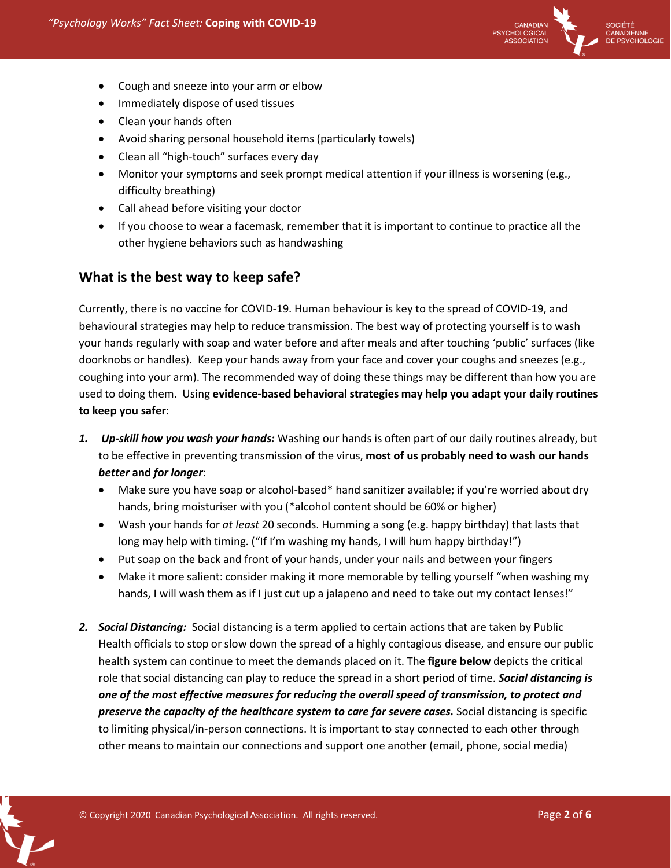

- Cough and sneeze into your arm or elbow
- **•** Immediately dispose of used tissues
- Clean your hands often
- Avoid sharing personal household items (particularly towels)
- Clean all "high-touch" surfaces every day
- Monitor your symptoms and seek prompt medical attention if your illness is worsening (e.g., difficulty breathing)
- Call ahead before visiting your doctor
- If you choose to wear a facemask, remember that it is important to continue to practice all the other hygiene behaviors such as handwashing

## **What is the best way to keep safe?**

Currently, there is no vaccine for COVID-19. Human behaviour is key to the spread of COVID-19, and behavioural strategies may help to reduce transmission. The best way of protecting yourself is to wash your hands regularly with soap and water before and after meals and after touching 'public' surfaces (like doorknobs or handles). Keep your hands away from your face and cover your coughs and sneezes (e.g., coughing into your arm). The recommended way of doing these things may be different than how you are used to doing them. Using **evidence-based behavioral strategies may help you adapt your daily routines to keep you safer**:

- *1. Up-skill how you wash your hands:* Washing our hands is often part of our daily routines already, but to be effective in preventing transmission of the virus, **most of us probably need to wash our hands**  *better* **and** *for longer*:
	- Make sure you have soap or alcohol-based\* hand sanitizer available; if you're worried about dry hands, bring moisturiser with you (\*alcohol content should be 60% or higher)
	- Wash your hands for *at least* 20 seconds. Humming a song (e.g. happy birthday) that lasts that long may help with timing. ("If I'm washing my hands, I will hum happy birthday!")
	- Put soap on the back and front of your hands, under your nails and between your fingers
	- Make it more salient: consider making it more memorable by telling yourself "when washing my hands, I will wash them as if I just cut up a jalapeno and need to take out my contact lenses!"
- 2. *Social Distancing:* Social distancing is a term applied to certain actions that are taken by Public Health officials to stop or slow down the spread of a highly contagious disease, and ensure our public health system can continue to meet the demands placed on it. The **figure below** depicts the critical role that social distancing can play to reduce the spread in a short period of time. *Social distancing is one of the most effective measures for reducing the overall speed of transmission, to protect and preserve the capacity of the healthcare system to care for severe cases.* Social distancing is specific to limiting physical/in-person connections. It is important to stay connected to each other through other means to maintain our connections and support one another (email, phone, social media)

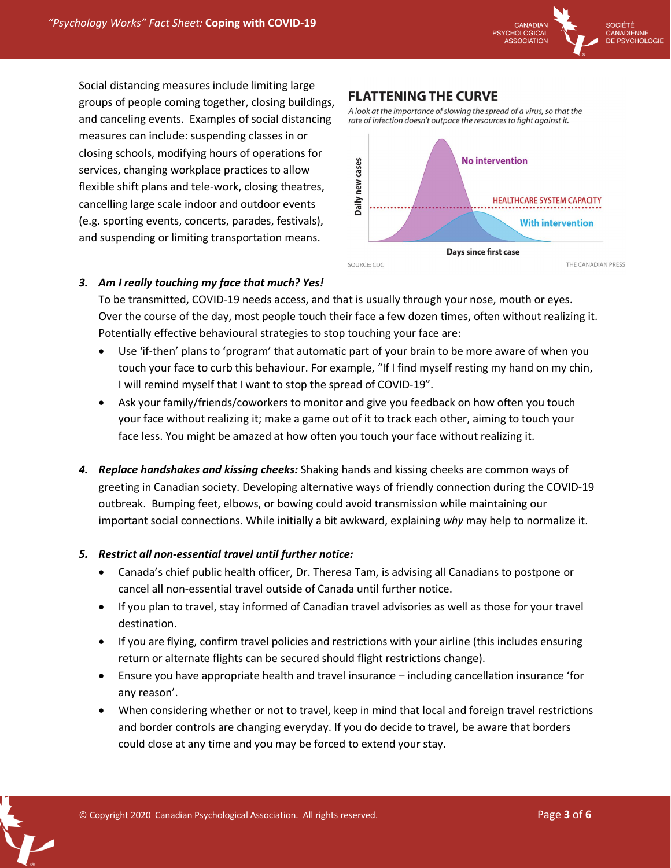

Social distancing measures include limiting large groups of people coming together, closing buildings, and canceling events. Examples of social distancing measures can include: suspending classes in or closing schools, modifying hours of operations for services, changing workplace practices to allow flexible shift plans and tele-work, closing theatres, cancelling large scale indoor and outdoor events (e.g. sporting events, concerts, parades, festivals), and suspending or limiting transportation means.

## **FLATTENING THE CURVE**

A look at the importance of slowing the spread of a virus, so that the rate of infection doesn't outpace the resources to fight against it.



#### *3. Am I really touching my face that much? Yes!*

To be transmitted, COVID-19 needs access, and that is usually through your nose, mouth or eyes. Over the course of the day, most people touch their face a few dozen times, often without realizing it. Potentially effective behavioural strategies to stop touching your face are:

- Use 'if-then' plans to 'program' that automatic part of your brain to be more aware of when you touch your face to curb this behaviour. For example, "If I find myself resting my hand on my chin, I will remind myself that I want to stop the spread of COVID-19".
- Ask your family/friends/coworkers to monitor and give you feedback on how often you touch your face without realizing it; make a game out of it to track each other, aiming to touch your face less. You might be amazed at how often you touch your face without realizing it.
- *4. Replace handshakes and kissing cheeks:* Shaking hands and kissing cheeks are common ways of greeting in Canadian society. Developing alternative ways of friendly connection during the COVID-19 outbreak. Bumping feet, elbows, or bowing could avoid transmission while maintaining our important social connections. While initially a bit awkward, explaining *why* may help to normalize it.

#### *5. Restrict all non-essential travel until further notice:*

- Canada's chief public health officer, Dr. Theresa Tam, is advising all Canadians to postpone or cancel all non-essential travel outside of Canada until further notice.
- If you plan to travel, stay informed of Canadian travel advisories as well as those for your travel destination.
- If you are flying, confirm travel policies and restrictions with your airline (this includes ensuring return or alternate flights can be secured should flight restrictions change).
- Ensure you have appropriate health and travel insurance including cancellation insurance 'for any reason'.
- When considering whether or not to travel, keep in mind that local and foreign travel restrictions and border controls are changing everyday. If you do decide to travel, be aware that borders could close at any time and you may be forced to extend your stay.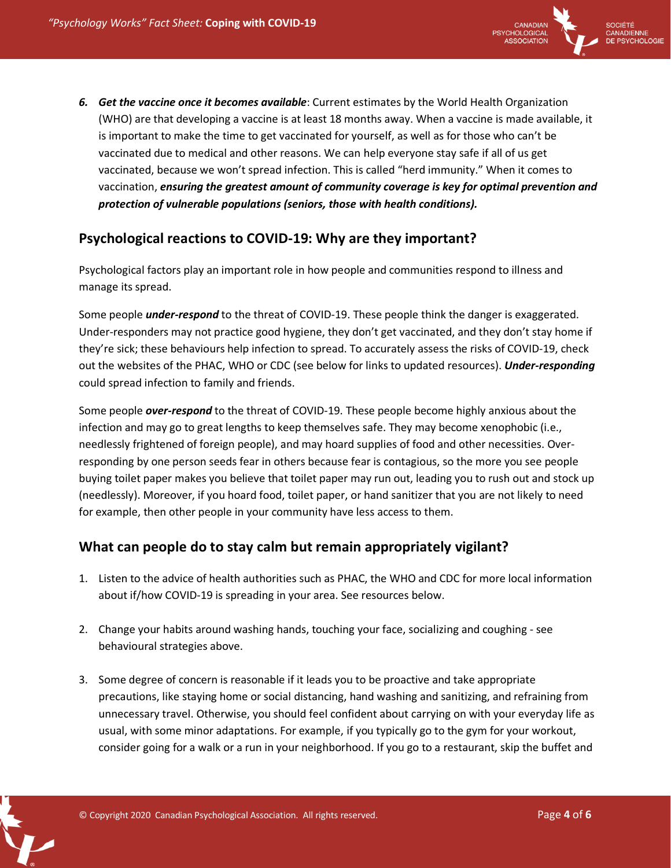

*6. Get the vaccine once it becomes available*: Current estimates by the World Health Organization (WHO) are that developing a vaccine is at least 18 months away. When a vaccine is made available, it is important to make the time to get vaccinated for yourself, as well as for those who can't be vaccinated due to medical and other reasons. We can help everyone stay safe if all of us get vaccinated, because we won't spread infection. This is called "herd immunity." When it comes to vaccination, *ensuring the greatest amount of community coverage is key for optimal prevention and protection of vulnerable populations (seniors, those with health conditions).* 

## **Psychological reactions to COVID-19: Why are they important?**

Psychological factors play an important role in how people and communities respond to illness and manage its spread.

Some people *under-respond* to the threat of COVID-19. These people think the danger is exaggerated. Under-responders may not practice good hygiene, they don't get vaccinated, and they don't stay home if they're sick; these behaviours help infection to spread. To accurately assess the risks of COVID-19, check out the websites of the PHAC, WHO or CDC (see below for links to updated resources). *Under-responding*  could spread infection to family and friends.

Some people *over-respond* to the threat of COVID-19. These people become highly anxious about the infection and may go to great lengths to keep themselves safe. They may become xenophobic (i.e., needlessly frightened of foreign people), and may hoard supplies of food and other necessities. Overresponding by one person seeds fear in others because fear is contagious, so the more you see people buying toilet paper makes you believe that toilet paper may run out, leading you to rush out and stock up (needlessly). Moreover, if you hoard food, toilet paper, or hand sanitizer that you are not likely to need for example, then other people in your community have less access to them.

## **What can people do to stay calm but remain appropriately vigilant?**

- 1. Listen to the advice of health authorities such as PHAC, the WHO and CDC for more local information about if/how COVID-19 is spreading in your area. See resources below.
- 2. Change your habits around washing hands, touching your face, socializing and coughing see behavioural strategies above.
- 3. Some degree of concern is reasonable if it leads you to be proactive and take appropriate precautions, like staying home or social distancing, hand washing and sanitizing, and refraining from unnecessary travel. Otherwise, you should feel confident about carrying on with your everyday life as usual, with some minor adaptations. For example, if you typically go to the gym for your workout, consider going for a walk or a run in your neighborhood. If you go to a restaurant, skip the buffet and

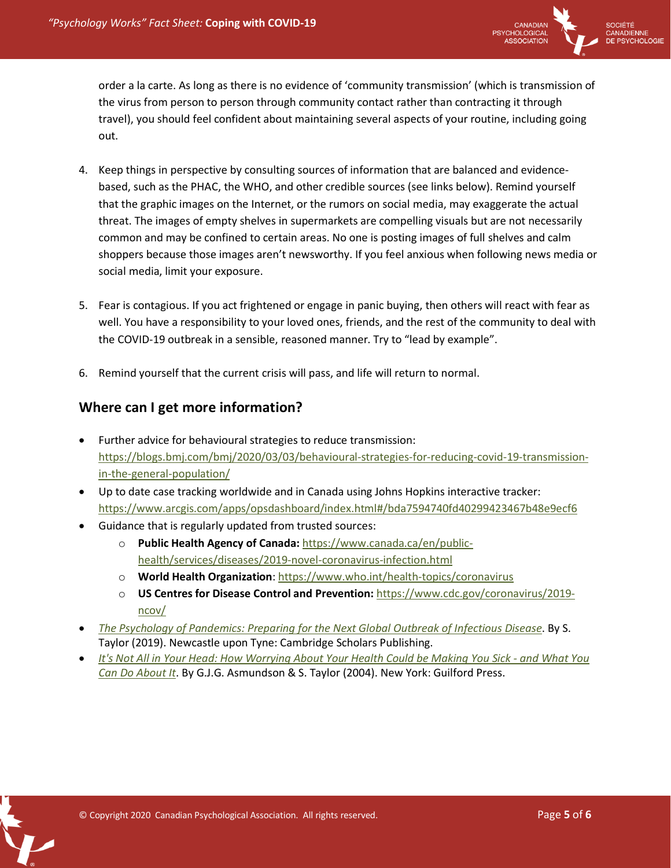

order a la carte. As long as there is no evidence of 'community transmission' (which is transmission of the virus from person to person through community contact rather than contracting it through travel), you should feel confident about maintaining several aspects of your routine, including going out.

- 4. Keep things in perspective by consulting sources of information that are balanced and evidencebased, such as the PHAC, the WHO, and other credible sources (see links below). Remind yourself that the graphic images on the Internet, or the rumors on social media, may exaggerate the actual threat. The images of empty shelves in supermarkets are compelling visuals but are not necessarily common and may be confined to certain areas. No one is posting images of full shelves and calm shoppers because those images aren't newsworthy. If you feel anxious when following news media or social media, limit your exposure.
- 5. Fear is contagious. If you act frightened or engage in panic buying, then others will react with fear as well. You have a responsibility to your loved ones, friends, and the rest of the community to deal with the COVID-19 outbreak in a sensible, reasoned manner. Try to "lead by example".
- 6. Remind yourself that the current crisis will pass, and life will return to normal.

## **Where can I get more information?**

- Further advice for behavioural strategies to reduce transmission: https://blogs.bmj.com/bmj/2020/03/03/behavioural-strategies-for-reducing-covid-19-transmissionin-the-general-population/
- Up to date case tracking worldwide and in Canada using Johns Hopkins interactive tracker: https://www.arcgis.com/apps/opsdashboard/index.html#/bda7594740fd40299423467b48e9ecf6
- Guidance that is regularly updated from trusted sources:
	- o **Public Health Agency of Canada:** https://www.canada.ca/en/publichealth/services/diseases/2019-novel-coronavirus-infection.html
	- o **World Health Organization**: https://www.who.int/health-topics/coronavirus
	- o **US Centres for Disease Control and Prevention:** https://www.cdc.gov/coronavirus/2019 ncov/
- *The Psychology of Pandemics: Preparing for the Next Global Outbreak of Infectious Disease*. By S. Taylor (2019). Newcastle upon Tyne: Cambridge Scholars Publishing.
- *It's Not All in Your Head: How Worrying About Your Health Could be Making You Sick - and What You Can Do About It*. By G.J.G. Asmundson & S. Taylor (2004). New York: Guilford Press.